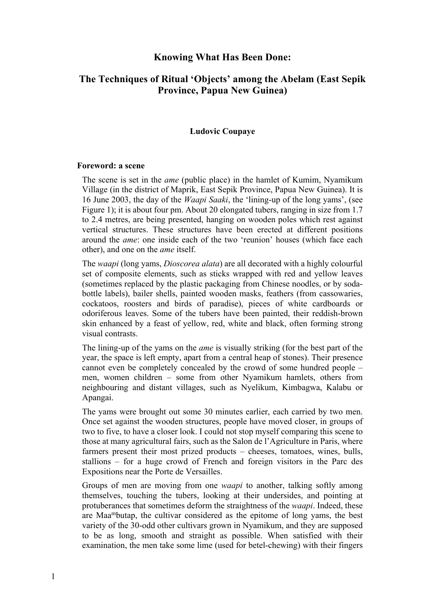## **Knowing What Has Been Done:**

# **The Techniques of Ritual 'Objects' among the Abelam (East Sepik Province, Papua New Guinea)**

#### **Ludovic Coupaye**

#### **Foreword: a scene**

The scene is set in the *ame* (public place) in the hamlet of Kumim, Nyamikum Village (in the district of Maprik, East Sepik Province, Papua New Guinea). It is 16 June 2003, the day of the *Waapi Saaki*, the 'lining-up of the long yams', (see Figure 1); it is about four pm. About 20 elongated tubers, ranging in size from 1.7 to 2.4 metres, are being presented, hanging on wooden poles which rest against vertical structures. These structures have been erected at different positions around the *ame*: one inside each of the two 'reunion' houses (which face each other), and one on the *ame* itself.

The *waapi* (long yams, *Dioscorea alata*) are all decorated with a highly colourful set of composite elements, such as sticks wrapped with red and yellow leaves (sometimes replaced by the plastic packaging from Chinese noodles, or by sodabottle labels), bailer shells, painted wooden masks, feathers (from cassowaries, cockatoos, roosters and birds of paradise), pieces of white cardboards or odoriferous leaves. Some of the tubers have been painted, their reddish-brown skin enhanced by a feast of yellow, red, white and black, often forming strong visual contrasts.

The lining-up of the yams on the *ame* is visually striking (for the best part of the year, the space is left empty, apart from a central heap of stones). Their presence cannot even be completely concealed by the crowd of some hundred people – men, women children – some from other Nyamikum hamlets, others from neighbouring and distant villages, such as Nyelikum, Kimbagwa, Kalabu or Apangai.

The yams were brought out some 30 minutes earlier, each carried by two men. Once set against the wooden structures, people have moved closer, in groups of two to five, to have a closer look. I could not stop myself comparing this scene to those at many agricultural fairs, such as the Salon de l'Agriculture in Paris, where farmers present their most prized products – cheeses, tomatoes, wines, bulls, stallions – for a huge crowd of French and foreign visitors in the Parc des Expositions near the Porte de Versailles.

Groups of men are moving from one *waapi* to another, talking softly among themselves, touching the tubers, looking at their undersides, and pointing at protuberances that sometimes deform the straightness of the *waapi*. Indeed, these are Maambutap, the cultivar considered as the epitome of long yams, the best variety of the 30-odd other cultivars grown in Nyamikum, and they are supposed to be as long, smooth and straight as possible. When satisfied with their examination, the men take some lime (used for betel-chewing) with their fingers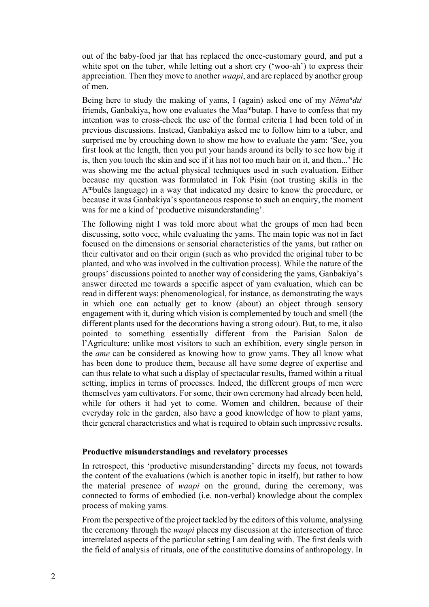out of the baby-food jar that has replaced the once-customary gourd, and put a white spot on the tuber, while letting out a short cry ('woo-ah') to express their appreciation. Then they move to another *waapi*, and are replaced by another group of men.

Being here to study the making of yams, I (again) asked one of my *Nëma<sup>n</sup>du*<sup>i</sup> friends, Ganbakiya, how one evaluates the Maambutap. I have to confess that my intention was to cross-check the use of the formal criteria I had been told of in previous discussions. Instead, Ganbakiya asked me to follow him to a tuber, and surprised me by crouching down to show me how to evaluate the yam: 'See, you first look at the length, then you put your hands around its belly to see how big it is, then you touch the skin and see if it has not too much hair on it, and then...' He was showing me the actual physical techniques used in such evaluation. Either because my question was formulated in Tok Pisin (not trusting skills in the Ambulës language) in a way that indicated my desire to know the procedure, or because it was Ganbakiya's spontaneous response to such an enquiry, the moment was for me a kind of 'productive misunderstanding'.

The following night I was told more about what the groups of men had been discussing, sotto voce, while evaluating the yams. The main topic was not in fact focused on the dimensions or sensorial characteristics of the yams, but rather on their cultivator and on their origin (such as who provided the original tuber to be planted, and who was involved in the cultivation process). While the nature of the groups' discussions pointed to another way of considering the yams, Ganbakiya's answer directed me towards a specific aspect of yam evaluation, which can be read in different ways: phenomenological, for instance, as demonstrating the ways in which one can actually get to know (about) an object through sensory engagement with it, during which vision is complemented by touch and smell (the different plants used for the decorations having a strong odour). But, to me, it also pointed to something essentially different from the Parisian Salon de l'Agriculture; unlike most visitors to such an exhibition, every single person in the *ame* can be considered as knowing how to grow yams. They all know what has been done to produce them, because all have some degree of expertise and can thus relate to what such a display of spectacular results, framed within a ritual setting, implies in terms of processes. Indeed, the different groups of men were themselves yam cultivators. For some, their own ceremony had already been held, while for others it had yet to come. Women and children, because of their everyday role in the garden, also have a good knowledge of how to plant yams, their general characteristics and what is required to obtain such impressive results.

#### **Productive misunderstandings and revelatory processes**

In retrospect, this 'productive misunderstanding' directs my focus, not towards the content of the evaluations (which is another topic in itself), but rather to how the material presence of *waapi* on the ground, during the ceremony, was connected to forms of embodied (i.e. non-verbal) knowledge about the complex process of making yams.

From the perspective of the project tackled by the editors of this volume, analysing the ceremony through the *waapi* places my discussion at the intersection of three interrelated aspects of the particular setting I am dealing with. The first deals with the field of analysis of rituals, one of the constitutive domains of anthropology. In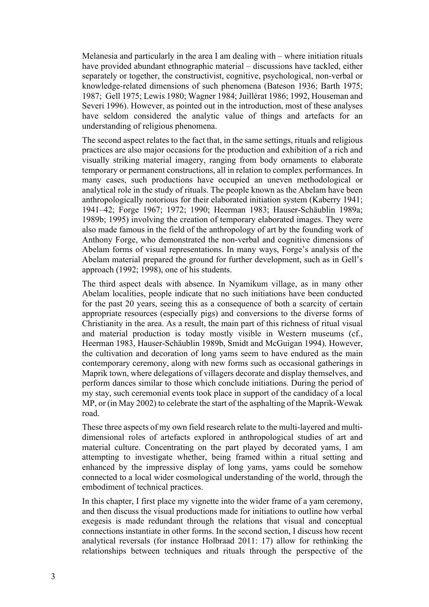Melanesia and particularly in the area I am dealing with – where initiation rituals have provided abundant ethnographic material – discussions have tackled, either separately or together, the constructivist, cognitive, psychological, non-verbal or knowledge-related dimensions of such phenomena (Bateson 1936; Barth 1975; 1987; Gell 1975; Lewis 1980; Wagner 1984; Juillérat 1986; 1992, Houseman and Severi 1996). However, as pointed out in the introduction, most of these analyses have seldom considered the analytic value of things and artefacts for an understanding of religious phenomena.

The second aspect relates to the fact that, in the same settings, rituals and religious practices are also major occasions for the production and exhibition of a rich and visually striking material imagery, ranging from body ornaments to elaborate temporary or permanent constructions, all in relation to complex performances. In many cases, such productions have occupied an uneven methodological or analytical role in the study of rituals. The people known as the Abelam have been anthropologically notorious for their elaborated initiation system (Kaberry 1941; 1941–42; Forge 1967; 1972; 1990; Heerman 1983; Hauser-Schäublin 1989a; 1989b; 1995) involving the creation of temporary elaborated images. They were also made famous in the field of the anthropology of art by the founding work of Anthony Forge, who demonstrated the non-verbal and cognitive dimensions of Abelam forms of visual representations. In many ways, Forge's analysis of the Abelam material prepared the ground for further development, such as in Gell's approach (1992; 1998), one of his students.

The third aspect deals with absence. In Nyamikum village, as in many other Abelam localities, people indicate that no such initiations have been conducted for the past 20 years, seeing this as a consequence of both a scarcity of certain appropriate resources (especially pigs) and conversions to the diverse forms of Christianity in the area. As a result, the main part of this richness of ritual visual and material production is today mostly visible in Western museums (cf., Heerman 1983, Hauser-Schäublin 1989b, Smidt and McGuigan 1994). However, the cultivation and decoration of long yams seem to have endured as the main contemporary ceremony, along with new forms such as occasional gatherings in Maprik town, where delegations of villagers decorate and display themselves, and perform dances similar to those which conclude initiations. During the period of my stay, such ceremonial events took place in support of the candidacy of a local MP, or (in May 2002) to celebrate the start of the asphalting of the Maprik-Wewak road.

These three aspects of my own field research relate to the multi-layered and multidimensional roles of artefacts explored in anthropological studies of art and material culture. Concentrating on the part played by decorated yams, I am attempting to investigate whether, being framed within a ritual setting and enhanced by the impressive display of long yams, yams could be somehow connected to a local wider cosmological understanding of the world, through the embodiment of technical practices.

In this chapter, I first place my vignette into the wider frame of a yam ceremony, and then discuss the visual productions made for initiations to outline how verbal exegesis is made redundant through the relations that visual and conceptual connections instantiate in other forms. In the second section, I discuss how recent analytical reversals (for instance Holbraad 2011: 17) allow for rethinking the relationships between techniques and rituals through the perspective of the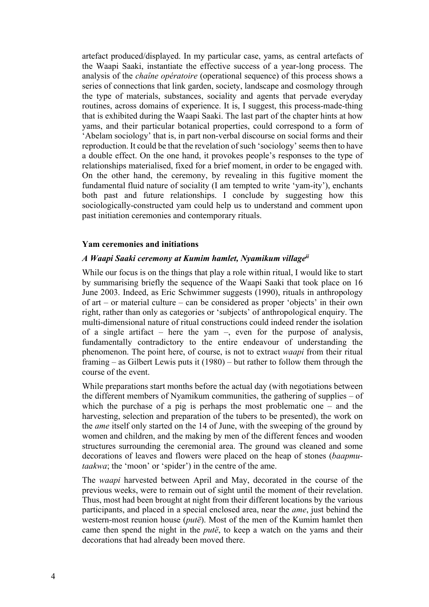artefact produced/displayed. In my particular case, yams, as central artefacts of the Waapi Saaki, instantiate the effective success of a year-long process. The analysis of the *chaîne opératoire* (operational sequence) of this process shows a series of connections that link garden, society, landscape and cosmology through the type of materials, substances, sociality and agents that pervade everyday routines, across domains of experience. It is, I suggest, this process-made-thing that is exhibited during the Waapi Saaki. The last part of the chapter hints at how yams, and their particular botanical properties, could correspond to a form of 'Abelam sociology' that is, in part non-verbal discourse on social forms and their reproduction. It could be that the revelation of such 'sociology' seems then to have a double effect. On the one hand, it provokes people's responses to the type of relationships materialised, fixed for a brief moment, in order to be engaged with. On the other hand, the ceremony, by revealing in this fugitive moment the fundamental fluid nature of sociality (I am tempted to write 'yam-ity'), enchants both past and future relationships. I conclude by suggesting how this sociologically-constructed yam could help us to understand and comment upon past initiation ceremonies and contemporary rituals.

#### **Yam ceremonies and initiations**

## *A Waapi Saaki ceremony at Kumim hamlet, Nyamikum villageii*

While our focus is on the things that play a role within ritual, I would like to start by summarising briefly the sequence of the Waapi Saaki that took place on 16 June 2003. Indeed, as Eric Schwimmer suggests (1990), rituals in anthropology of art – or material culture – can be considered as proper 'objects' in their own right, rather than only as categories or 'subjects' of anthropological enquiry. The multi-dimensional nature of ritual constructions could indeed render the isolation of a single artifact – here the yam –, even for the purpose of analysis, fundamentally contradictory to the entire endeavour of understanding the phenomenon. The point here, of course, is not to extract *waapi* from their ritual framing – as Gilbert Lewis puts it (1980) – but rather to follow them through the course of the event.

While preparations start months before the actual day (with negotiations between the different members of Nyamikum communities, the gathering of supplies – of which the purchase of a pig is perhaps the most problematic one – and the harvesting, selection and preparation of the tubers to be presented), the work on the *ame* itself only started on the 14 of June, with the sweeping of the ground by women and children, and the making by men of the different fences and wooden structures surrounding the ceremonial area. The ground was cleaned and some decorations of leaves and flowers were placed on the heap of stones (*baapmutaakwa*; the 'moon' or 'spider') in the centre of the ame.

The *waapi* harvested between April and May, decorated in the course of the previous weeks, were to remain out of sight until the moment of their revelation. Thus, most had been brought at night from their different locations by the various participants, and placed in a special enclosed area, near the *ame*, just behind the western-most reunion house (*putë*). Most of the men of the Kumim hamlet then came then spend the night in the *putë*, to keep a watch on the yams and their decorations that had already been moved there.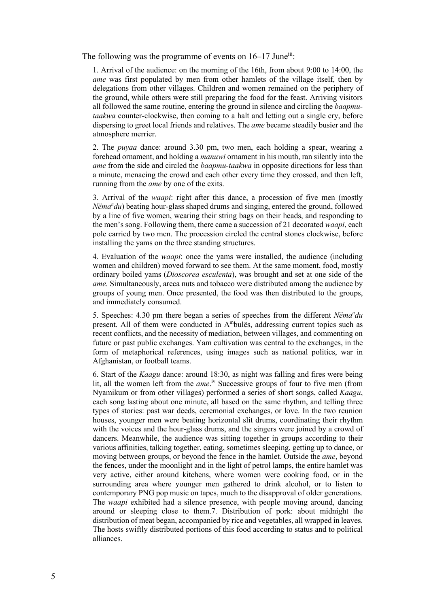The following was the programme of events on  $16-17$  June<sup>iii</sup>:

1. Arrival of the audience: on the morning of the 16th, from about 9:00 to 14:00, the *ame* was first populated by men from other hamlets of the village itself, then by delegations from other villages. Children and women remained on the periphery of the ground, while others were still preparing the food for the feast. Arriving visitors all followed the same routine, entering the ground in silence and circling the *baapmutaakwa* counter-clockwise, then coming to a halt and letting out a single cry, before dispersing to greet local friends and relatives. The *ame* became steadily busier and the atmosphere merrier.

2. The *puyaa* dance: around 3.30 pm, two men, each holding a spear, wearing a forehead ornament, and holding a *manuwi* ornament in his mouth, ran silently into the *ame* from the side and circled the *baapmu-taakwa* in opposite directions for less than a minute, menacing the crowd and each other every time they crossed, and then left, running from the *ame* by one of the exits.

3. Arrival of the *waapi*: right after this dance, a procession of five men (mostly *Nëma<sup>n</sup>du*) beating hour-glass shaped drums and singing, entered the ground, followed by a line of five women, wearing their string bags on their heads, and responding to the men's song. Following them, there came a succession of 21 decorated *waapi*, each pole carried by two men. The procession circled the central stones clockwise, before installing the yams on the three standing structures.

4. Evaluation of the *waapi*: once the yams were installed, the audience (including women and children) moved forward to see them. At the same moment, food, mostly ordinary boiled yams (*Dioscorea esculenta*), was brought and set at one side of the *ame*. Simultaneously, areca nuts and tobacco were distributed among the audience by groups of young men. Once presented, the food was then distributed to the groups, and immediately consumed.

5. Speeches: 4.30 pm there began a series of speeches from the different *Nëma<sup>n</sup>du* present. All of them were conducted in Ambulës, addressing current topics such as recent conflicts, and the necessity of mediation, between villages, and commenting on future or past public exchanges. Yam cultivation was central to the exchanges, in the form of metaphorical references, using images such as national politics, war in Afghanistan, or football teams.

6. Start of the *Kaagu* dance: around 18:30, as night was falling and fires were being lit, all the women left from the *ame*.<sup>iv</sup> Successive groups of four to five men (from Nyamikum or from other villages) performed a series of short songs, called *Kaagu*, each song lasting about one minute, all based on the same rhythm, and telling three types of stories: past war deeds, ceremonial exchanges, or love. In the two reunion houses, younger men were beating horizontal slit drums, coordinating their rhythm with the voices and the hour-glass drums, and the singers were joined by a crowd of dancers. Meanwhile, the audience was sitting together in groups according to their various affinities, talking together, eating, sometimes sleeping, getting up to dance, or moving between groups, or beyond the fence in the hamlet. Outside the *ame*, beyond the fences, under the moonlight and in the light of petrol lamps, the entire hamlet was very active, either around kitchens, where women were cooking food, or in the surrounding area where younger men gathered to drink alcohol, or to listen to contemporary PNG pop music on tapes, much to the disapproval of older generations. The *waapi* exhibited had a silence presence, with people moving around, dancing around or sleeping close to them.7. Distribution of pork: about midnight the distribution of meat began, accompanied by rice and vegetables, all wrapped in leaves. The hosts swiftly distributed portions of this food according to status and to political alliances.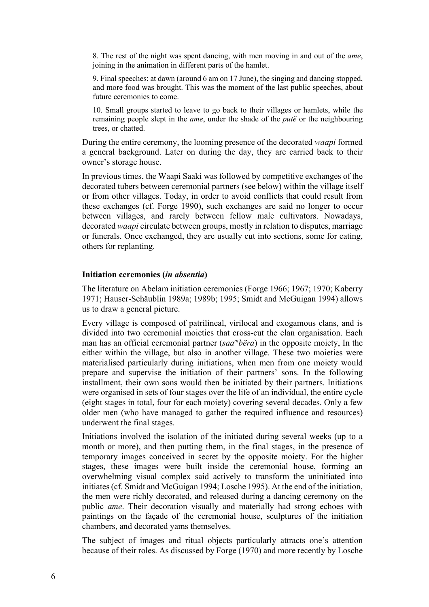8. The rest of the night was spent dancing, with men moving in and out of the *ame*, joining in the animation in different parts of the hamlet.

9. Final speeches: at dawn (around 6 am on 17 June), the singing and dancing stopped, and more food was brought. This was the moment of the last public speeches, about future ceremonies to come.

10. Small groups started to leave to go back to their villages or hamlets, while the remaining people slept in the *ame*, under the shade of the *putë* or the neighbouring trees, or chatted.

During the entire ceremony, the looming presence of the decorated *waapi* formed a general background. Later on during the day, they are carried back to their owner's storage house.

In previous times, the Waapi Saaki was followed by competitive exchanges of the decorated tubers between ceremonial partners (see below) within the village itself or from other villages. Today, in order to avoid conflicts that could result from these exchanges (cf. Forge 1990), such exchanges are said no longer to occur between villages, and rarely between fellow male cultivators. Nowadays, decorated *waapi* circulate between groups, mostly in relation to disputes, marriage or funerals. Once exchanged, they are usually cut into sections, some for eating, others for replanting.

### **Initiation ceremonies (***in absentia***)**

The literature on Abelam initiation ceremonies (Forge 1966; 1967; 1970; Kaberry 1971; Hauser-Schäublin 1989a; 1989b; 1995; Smidt and McGuigan 1994) allows us to draw a general picture.

Every village is composed of patrilineal, virilocal and exogamous clans, and is divided into two ceremonial moieties that cross-cut the clan organisation. Each man has an official ceremonial partner (*saambëra*) in the opposite moiety, In the either within the village, but also in another village. These two moieties were materialised particularly during initiations, when men from one moiety would prepare and supervise the initiation of their partners' sons. In the following installment, their own sons would then be initiated by their partners. Initiations were organised in sets of four stages over the life of an individual, the entire cycle (eight stages in total, four for each moiety) covering several decades. Only a few older men (who have managed to gather the required influence and resources) underwent the final stages.

Initiations involved the isolation of the initiated during several weeks (up to a month or more), and then putting them, in the final stages, in the presence of temporary images conceived in secret by the opposite moiety. For the higher stages, these images were built inside the ceremonial house, forming an overwhelming visual complex said actively to transform the uninitiated into initiates (cf. Smidt and McGuigan 1994; Losche 1995). At the end of the initiation, the men were richly decorated, and released during a dancing ceremony on the public *ame*. Their decoration visually and materially had strong echoes with paintings on the façade of the ceremonial house, sculptures of the initiation chambers, and decorated yams themselves.

The subject of images and ritual objects particularly attracts one's attention because of their roles. As discussed by Forge (1970) and more recently by Losche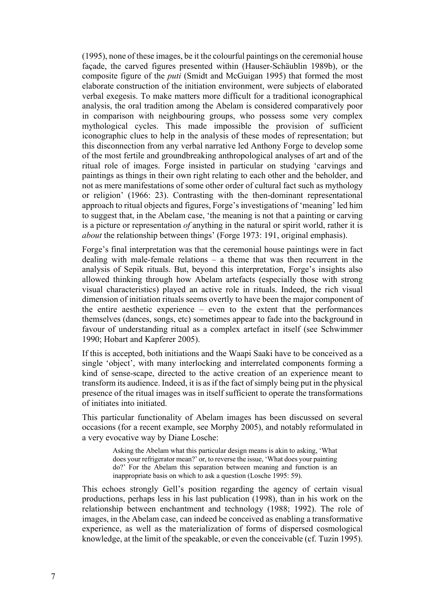(1995), none of these images, be it the colourful paintings on the ceremonial house façade, the carved figures presented within (Hauser-Schäublin 1989b), or the composite figure of the *puti* (Smidt and McGuigan 1995) that formed the most elaborate construction of the initiation environment, were subjects of elaborated verbal exegesis. To make matters more difficult for a traditional iconographical analysis, the oral tradition among the Abelam is considered comparatively poor in comparison with neighbouring groups, who possess some very complex mythological cycles. This made impossible the provision of sufficient iconographic clues to help in the analysis of these modes of representation; but this disconnection from any verbal narrative led Anthony Forge to develop some of the most fertile and groundbreaking anthropological analyses of art and of the ritual role of images. Forge insisted in particular on studying 'carvings and paintings as things in their own right relating to each other and the beholder, and not as mere manifestations of some other order of cultural fact such as mythology or religion' (1966: 23). Contrasting with the then-dominant representational approach to ritual objects and figures, Forge's investigations of 'meaning' led him to suggest that, in the Abelam case, 'the meaning is not that a painting or carving is a picture or representation *of* anything in the natural or spirit world, rather it is *about* the relationship between things' (Forge 1973: 191, original emphasis).

Forge's final interpretation was that the ceremonial house paintings were in fact dealing with male-female relations – a theme that was then recurrent in the analysis of Sepik rituals. But, beyond this interpretation, Forge's insights also allowed thinking through how Abelam artefacts (especially those with strong visual characteristics) played an active role in rituals. Indeed, the rich visual dimension of initiation rituals seems overtly to have been the major component of the entire aesthetic experience – even to the extent that the performances themselves (dances, songs, etc) sometimes appear to fade into the background in favour of understanding ritual as a complex artefact in itself (see Schwimmer 1990; Hobart and Kapferer 2005).

If this is accepted, both initiations and the Waapi Saaki have to be conceived as a single 'object', with many interlocking and interrelated components forming a kind of sense-scape, directed to the active creation of an experience meant to transform its audience. Indeed, it is as if the fact of simply being put in the physical presence of the ritual images was in itself sufficient to operate the transformations of initiates into initiated.

This particular functionality of Abelam images has been discussed on several occasions (for a recent example, see Morphy 2005), and notably reformulated in a very evocative way by Diane Losche:

> Asking the Abelam what this particular design means is akin to asking, 'What does your refrigerator mean?' or, to reverse the issue, 'What does your painting do?' For the Abelam this separation between meaning and function is an inappropriate basis on which to ask a question (Losche 1995: 59).

This echoes strongly Gell's position regarding the agency of certain visual productions, perhaps less in his last publication (1998), than in his work on the relationship between enchantment and technology (1988; 1992). The role of images, in the Abelam case, can indeed be conceived as enabling a transformative experience, as well as the materialization of forms of dispersed cosmological knowledge, at the limit of the speakable, or even the conceivable (cf. Tuzin 1995).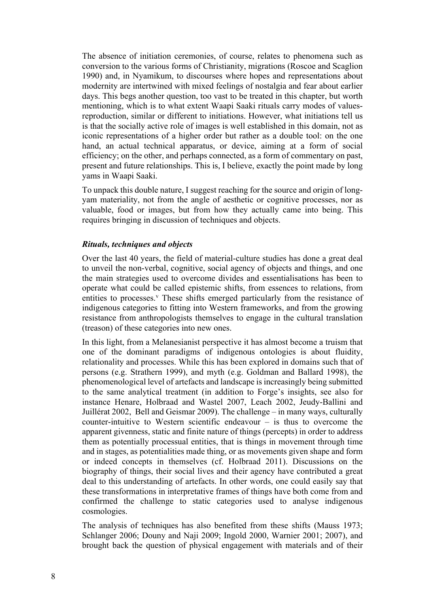The absence of initiation ceremonies, of course, relates to phenomena such as conversion to the various forms of Christianity, migrations (Roscoe and Scaglion 1990) and, in Nyamikum, to discourses where hopes and representations about modernity are intertwined with mixed feelings of nostalgia and fear about earlier days. This begs another question, too vast to be treated in this chapter, but worth mentioning, which is to what extent Waapi Saaki rituals carry modes of valuesreproduction, similar or different to initiations. However, what initiations tell us is that the socially active role of images is well established in this domain, not as iconic representations of a higher order but rather as a double tool: on the one hand, an actual technical apparatus, or device, aiming at a form of social efficiency; on the other, and perhaps connected, as a form of commentary on past, present and future relationships. This is, I believe, exactly the point made by long yams in Waapi Saaki.

To unpack this double nature, I suggest reaching for the source and origin of longyam materiality, not from the angle of aesthetic or cognitive processes, nor as valuable, food or images, but from how they actually came into being. This requires bringing in discussion of techniques and objects.

### *Rituals, techniques and objects*

Over the last 40 years, the field of material-culture studies has done a great deal to unveil the non-verbal, cognitive, social agency of objects and things, and one the main strategies used to overcome divides and essentialisations has been to operate what could be called epistemic shifts, from essences to relations, from entities to processes.<sup>v</sup> These shifts emerged particularly from the resistance of indigenous categories to fitting into Western frameworks, and from the growing resistance from anthropologists themselves to engage in the cultural translation (treason) of these categories into new ones.

In this light, from a Melanesianist perspective it has almost become a truism that one of the dominant paradigms of indigenous ontologies is about fluidity, relationality and processes. While this has been explored in domains such that of persons (e.g. Strathern 1999), and myth (e.g. Goldman and Ballard 1998), the phenomenological level of artefacts and landscape is increasingly being submitted to the same analytical treatment (in addition to Forge's insights, see also for instance Henare, Holbraad and Wastel 2007, Leach 2002, Jeudy-Ballini and Juillérat 2002, Bell and Geismar 2009). The challenge – in many ways, culturally counter-intuitive to Western scientific endeavour  $-$  is thus to overcome the apparent givenness, static and finite nature of things (percepts) in order to address them as potentially processual entities, that is things in movement through time and in stages, as potentialities made thing, or as movements given shape and form or indeed concepts in themselves (cf. Holbraad 2011). Discussions on the biography of things, their social lives and their agency have contributed a great deal to this understanding of artefacts. In other words, one could easily say that these transformations in interpretative frames of things have both come from and confirmed the challenge to static categories used to analyse indigenous cosmologies.

The analysis of techniques has also benefited from these shifts (Mauss 1973; Schlanger 2006; Douny and Naji 2009; Ingold 2000, Warnier 2001; 2007), and brought back the question of physical engagement with materials and of their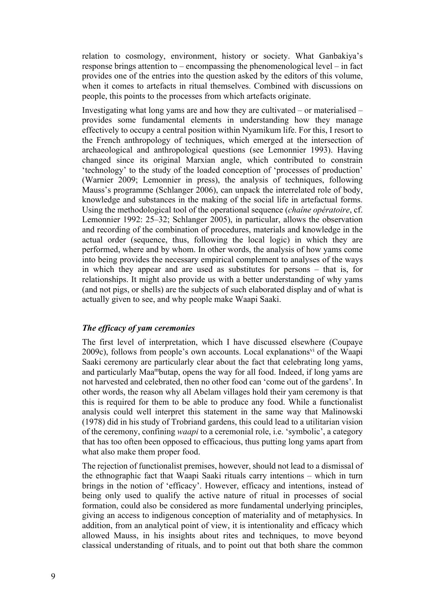relation to cosmology, environment, history or society. What Ganbakiya's response brings attention to – encompassing the phenomenological level – in fact provides one of the entries into the question asked by the editors of this volume, when it comes to artefacts in ritual themselves. Combined with discussions on people, this points to the processes from which artefacts originate.

Investigating what long yams are and how they are cultivated – or materialised – provides some fundamental elements in understanding how they manage effectively to occupy a central position within Nyamikum life. For this, I resort to the French anthropology of techniques, which emerged at the intersection of archaeological and anthropological questions (see Lemonnier 1993). Having changed since its original Marxian angle, which contributed to constrain 'technology' to the study of the loaded conception of 'processes of production' (Warnier 2009; Lemonnier in press), the analysis of techniques, following Mauss's programme (Schlanger 2006), can unpack the interrelated role of body, knowledge and substances in the making of the social life in artefactual forms. Using the methodological tool of the operational sequence (*chaîne opératoire*, cf. Lemonnier 1992: 25–32; Schlanger 2005), in particular, allows the observation and recording of the combination of procedures, materials and knowledge in the actual order (sequence, thus, following the local logic) in which they are performed, where and by whom. In other words, the analysis of how yams come into being provides the necessary empirical complement to analyses of the ways in which they appear and are used as substitutes for persons – that is, for relationships. It might also provide us with a better understanding of why yams (and not pigs, or shells) are the subjects of such elaborated display and of what is actually given to see, and why people make Waapi Saaki.

### *The efficacy of yam ceremonies*

The first level of interpretation, which I have discussed elsewhere (Coupaye 2009c), follows from people's own accounts. Local explanations<sup> $vi$ </sup> of the Waapi Saaki ceremony are particularly clear about the fact that celebrating long yams, and particularly Maambutap, opens the way for all food. Indeed, if long yams are not harvested and celebrated, then no other food can 'come out of the gardens'. In other words, the reason why all Abelam villages hold their yam ceremony is that this is required for them to be able to produce any food. While a functionalist analysis could well interpret this statement in the same way that Malinowski (1978) did in his study of Trobriand gardens, this could lead to a utilitarian vision of the ceremony, confining *waapi* to a ceremonial role, i.e. 'symbolic', a category that has too often been opposed to efficacious, thus putting long yams apart from what also make them proper food.

The rejection of functionalist premises, however, should not lead to a dismissal of the ethnographic fact that Waapi Saaki rituals carry intentions – which in turn brings in the notion of 'efficacy'. However, efficacy and intentions, instead of being only used to qualify the active nature of ritual in processes of social formation, could also be considered as more fundamental underlying principles, giving an access to indigenous conception of materiality and of metaphysics. In addition, from an analytical point of view, it is intentionality and efficacy which allowed Mauss, in his insights about rites and techniques, to move beyond classical understanding of rituals, and to point out that both share the common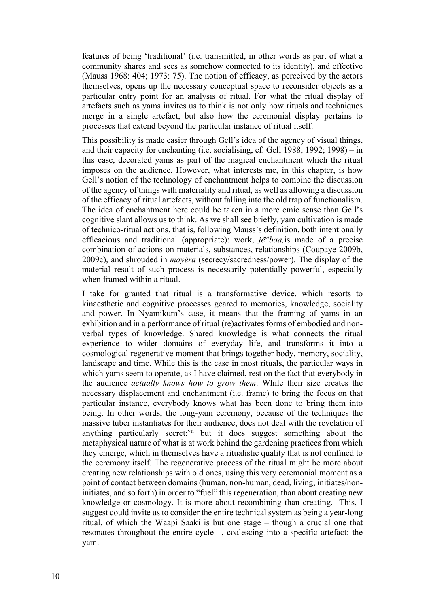features of being 'traditional' (i.e. transmitted, in other words as part of what a community shares and sees as somehow connected to its identity), and effective (Mauss 1968: 404; 1973: 75). The notion of efficacy, as perceived by the actors themselves, opens up the necessary conceptual space to reconsider objects as a particular entry point for an analysis of ritual. For what the ritual display of artefacts such as yams invites us to think is not only how rituals and techniques merge in a single artefact, but also how the ceremonial display pertains to processes that extend beyond the particular instance of ritual itself.

This possibility is made easier through Gell's idea of the agency of visual things, and their capacity for enchanting (i.e. socialising, cf. Gell 1988; 1992; 1998) – in this case, decorated yams as part of the magical enchantment which the ritual imposes on the audience. However, what interests me, in this chapter, is how Gell's notion of the technology of enchantment helps to combine the discussion of the agency of things with materiality and ritual, as well as allowing a discussion of the efficacy of ritual artefacts, without falling into the old trap of functionalism. The idea of enchantment here could be taken in a more emic sense than Gell's cognitive slant allows us to think. As we shall see briefly, yam cultivation is made of technico-ritual actions, that is, following Mauss's definition, both intentionally efficacious and traditional (appropriate): work, *jëmbaa,*is made of a precise combination of actions on materials, substances, relationships (Coupaye 2009b, 2009c), and shrouded in *mayëra* (secrecy/sacredness/power). The display of the material result of such process is necessarily potentially powerful, especially when framed within a ritual.

I take for granted that ritual is a transformative device, which resorts to kinaesthetic and cognitive processes geared to memories, knowledge, sociality and power. In Nyamikum's case, it means that the framing of yams in an exhibition and in a performance of ritual (re)activates forms of embodied and nonverbal types of knowledge. Shared knowledge is what connects the ritual experience to wider domains of everyday life, and transforms it into a cosmological regenerative moment that brings together body, memory, sociality, landscape and time. While this is the case in most rituals, the particular ways in which yams seem to operate, as I have claimed, rest on the fact that everybody in the audience *actually knows how to grow them*. While their size creates the necessary displacement and enchantment (i.e. frame) to bring the focus on that particular instance, everybody knows what has been done to bring them into being. In other words, the long-yam ceremony, because of the techniques the massive tuber instantiates for their audience, does not deal with the revelation of anything particularly secret;<sup>vii</sup> but it does suggest something about the metaphysical nature of what is at work behind the gardening practices from which they emerge, which in themselves have a ritualistic quality that is not confined to the ceremony itself. The regenerative process of the ritual might be more about creating new relationships with old ones, using this very ceremonial moment as a point of contact between domains (human, non-human, dead, living, initiates/noninitiates, and so forth) in order to "fuel" this regeneration, than about creating new knowledge or cosmology. It is more about recombining than creating. This, I suggest could invite us to consider the entire technical system as being a year-long ritual, of which the Waapi Saaki is but one stage – though a crucial one that resonates throughout the entire cycle –, coalescing into a specific artefact: the yam.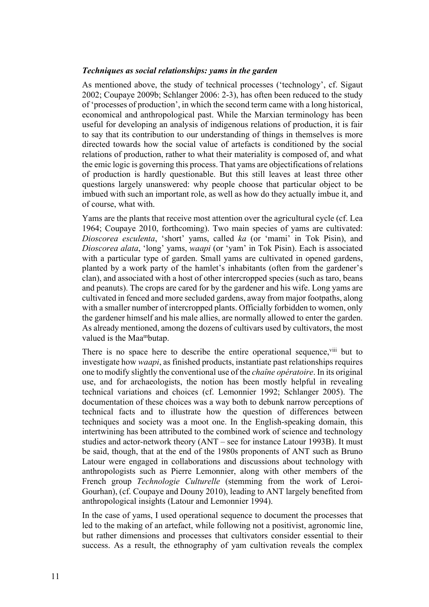### *Techniques as social relationships: yams in the garden*

As mentioned above, the study of technical processes ('technology', cf. Sigaut 2002; Coupaye 2009b; Schlanger 2006: 2-3), has often been reduced to the study of 'processes of production', in which the second term came with a long historical, economical and anthropological past. While the Marxian terminology has been useful for developing an analysis of indigenous relations of production, it is fair to say that its contribution to our understanding of things in themselves is more directed towards how the social value of artefacts is conditioned by the social relations of production, rather to what their materiality is composed of, and what the emic logic is governing this process. That yams are objectifications of relations of production is hardly questionable. But this still leaves at least three other questions largely unanswered: why people choose that particular object to be imbued with such an important role, as well as how do they actually imbue it, and of course, what with.

Yams are the plants that receive most attention over the agricultural cycle (cf. Lea 1964; Coupaye 2010, forthcoming). Two main species of yams are cultivated: *Dioscorea esculenta*, 'short' yams, called *ka* (or 'mami' in Tok Pisin), and *Dioscorea alata*, 'long' yams, *waapi* (or 'yam' in Tok Pisin). Each is associated with a particular type of garden. Small yams are cultivated in opened gardens, planted by a work party of the hamlet's inhabitants (often from the gardener's clan), and associated with a host of other intercropped species (such as taro, beans and peanuts). The crops are cared for by the gardener and his wife. Long yams are cultivated in fenced and more secluded gardens, away from major footpaths, along with a smaller number of intercropped plants. Officially forbidden to women, only the gardener himself and his male allies, are normally allowed to enter the garden. As already mentioned, among the dozens of cultivars used by cultivators, the most valued is the Maambutap.

There is no space here to describe the entire operational sequence,<sup>viii</sup> but to investigate how *waapi*, as finished products, instantiate past relationships requires one to modify slightly the conventional use of the *chaîne opératoire*. In its original use, and for archaeologists, the notion has been mostly helpful in revealing technical variations and choices (cf. Lemonnier 1992; Schlanger 2005). The documentation of these choices was a way both to debunk narrow perceptions of technical facts and to illustrate how the question of differences between techniques and society was a moot one. In the English-speaking domain, this intertwining has been attributed to the combined work of science and technology studies and actor-network theory (ANT – see for instance Latour 1993B). It must be said, though, that at the end of the 1980s proponents of ANT such as Bruno Latour were engaged in collaborations and discussions about technology with anthropologists such as Pierre Lemonnier, along with other members of the French group *Technologie Culturelle* (stemming from the work of Leroi-Gourhan), (cf. Coupaye and Douny 2010), leading to ANT largely benefited from anthropological insights (Latour and Lemonnier 1994).

In the case of yams, I used operational sequence to document the processes that led to the making of an artefact, while following not a positivist, agronomic line, but rather dimensions and processes that cultivators consider essential to their success. As a result, the ethnography of yam cultivation reveals the complex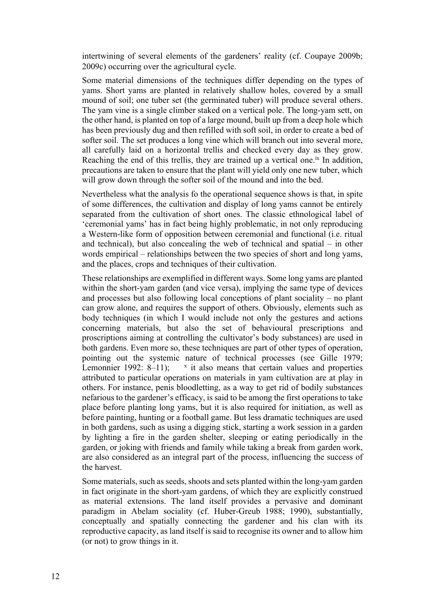intertwining of several elements of the gardeners' reality (cf. Coupaye 2009b; 2009c) occurring over the agricultural cycle.

Some material dimensions of the techniques differ depending on the types of yams. Short yams are planted in relatively shallow holes, covered by a small mound of soil; one tuber set (the germinated tuber) will produce several others. The yam vine is a single climber staked on a vertical pole. The long-yam sett, on the other hand, is planted on top of a large mound, built up from a deep hole which has been previously dug and then refilled with soft soil, in order to create a bed of softer soil. The set produces a long vine which will branch out into several more, all carefully laid on a horizontal trellis and checked every day as they grow. Reaching the end of this trellis, they are trained up a vertical one.<sup>ix</sup> In addition, precautions are taken to ensure that the plant will yield only one new tuber, which will grow down through the softer soil of the mound and into the bed.

Nevertheless what the analysis fo the operational sequence shows is that, in spite of some differences, the cultivation and display of long yams cannot be entirely separated from the cultivation of short ones. The classic ethnological label of 'ceremonial yams' has in fact being highly problematic, in not only reproducing a Western-like form of opposition between ceremonial and functional (i.e. ritual and technical), but also concealing the web of technical and spatial – in other words empirical – relationships between the two species of short and long yams, and the places, crops and techniques of their cultivation.

These relationships are exemplified in different ways. Some long yams are planted within the short-yam garden (and vice versa), implying the same type of devices and processes but also following local conceptions of plant sociality – no plant can grow alone, and requires the support of others. Obviously, elements such as body techniques (in which I would include not only the gestures and actions concerning materials, but also the set of behavioural prescriptions and proscriptions aiming at controlling the cultivator's body substances) are used in both gardens. Even more so, these techniques are part of other types of operation, pointing out the systemic nature of technical processes (see Gille 1979; Lemonnier 1992: 8–11);  $\lambda$  it also means that certain values and properties attributed to particular operations on materials in yam cultivation are at play in others. For instance, penis bloodletting, as a way to get rid of bodily substances nefarious to the gardener's efficacy, is said to be among the first operations to take place before planting long yams, but it is also required for initiation, as well as before painting, hunting or a football game. But less dramatic techniques are used in both gardens, such as using a digging stick, starting a work session in a garden by lighting a fire in the garden shelter, sleeping or eating periodically in the garden, or joking with friends and family while taking a break from garden work, are also considered as an integral part of the process, influencing the success of the harvest.

Some materials, such as seeds, shoots and sets planted within the long-yam garden in fact originate in the short-yam gardens, of which they are explicitly construed as material extensions. The land itself provides a pervasive and dominant paradigm in Abelam sociality (cf. Huber-Greub 1988; 1990), substantially, conceptually and spatially connecting the gardener and his clan with its reproductive capacity, as land itself is said to recognise its owner and to allow him (or not) to grow things in it.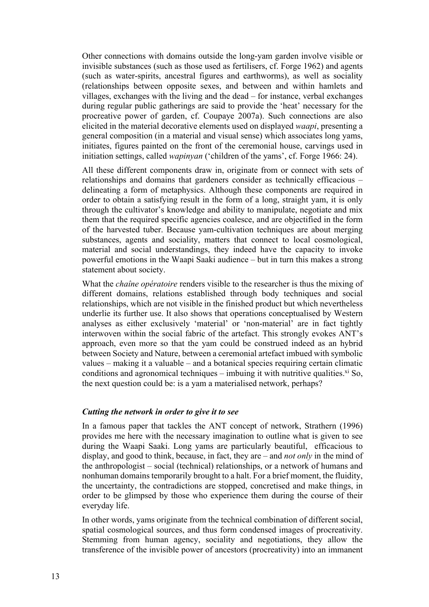Other connections with domains outside the long-yam garden involve visible or invisible substances (such as those used as fertilisers, cf. Forge 1962) and agents (such as water-spirits, ancestral figures and earthworms), as well as sociality (relationships between opposite sexes, and between and within hamlets and villages, exchanges with the living and the dead – for instance, verbal exchanges during regular public gatherings are said to provide the 'heat' necessary for the procreative power of garden, cf. Coupaye 2007a). Such connections are also elicited in the material decorative elements used on displayed *waapi*, presenting a general composition (in a material and visual sense) which associates long yams, initiates, figures painted on the front of the ceremonial house, carvings used in initiation settings, called *wapinyan* ('children of the yams', cf. Forge 1966: 24).

All these different components draw in, originate from or connect with sets of relationships and domains that gardeners consider as technically efficacious – delineating a form of metaphysics. Although these components are required in order to obtain a satisfying result in the form of a long, straight yam, it is only through the cultivator's knowledge and ability to manipulate, negotiate and mix them that the required specific agencies coalesce, and are objectified in the form of the harvested tuber. Because yam-cultivation techniques are about merging substances, agents and sociality, matters that connect to local cosmological, material and social understandings, they indeed have the capacity to invoke powerful emotions in the Waapi Saaki audience – but in turn this makes a strong statement about society.

What the *chaîne opératoire* renders visible to the researcher is thus the mixing of different domains, relations established through body techniques and social relationships, which are not visible in the finished product but which nevertheless underlie its further use. It also shows that operations conceptualised by Western analyses as either exclusively 'material' or 'non-material' are in fact tightly interwoven within the social fabric of the artefact. This strongly evokes ANT's approach, even more so that the yam could be construed indeed as an hybrid between Society and Nature, between a ceremonial artefact imbued with symbolic values – making it a valuable – and a botanical species requiring certain climatic conditions and agronomical techniques – imbuing it with nutritive qualities. ${}^{xi}$  So, the next question could be: is a yam a materialised network, perhaps?

### *Cutting the network in order to give it to see*

In a famous paper that tackles the ANT concept of network, Strathern (1996) provides me here with the necessary imagination to outline what is given to see during the Waapi Saaki. Long yams are particularly beautiful, efficacious to display, and good to think, because, in fact, they are – and *not only* in the mind of the anthropologist – social (technical) relationships, or a network of humans and nonhuman domains temporarily brought to a halt. For a brief moment, the fluidity, the uncertainty, the contradictions are stopped, concretised and make things, in order to be glimpsed by those who experience them during the course of their everyday life.

In other words, yams originate from the technical combination of different social, spatial cosmological sources, and thus form condensed images of procreativity. Stemming from human agency, sociality and negotiations, they allow the transference of the invisible power of ancestors (procreativity) into an immanent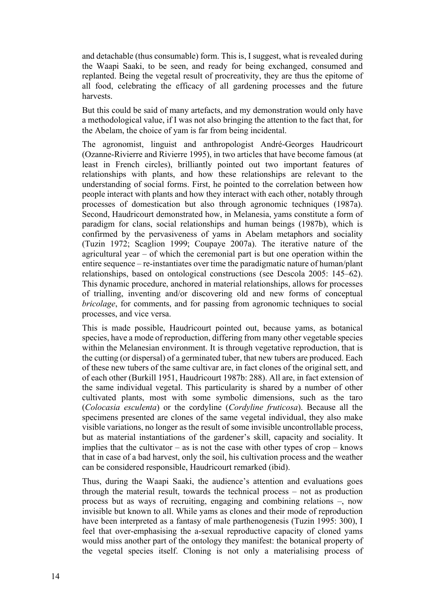and detachable (thus consumable) form. This is, I suggest, what is revealed during the Waapi Saaki, to be seen, and ready for being exchanged, consumed and replanted. Being the vegetal result of procreativity, they are thus the epitome of all food, celebrating the efficacy of all gardening processes and the future harvests.

But this could be said of many artefacts, and my demonstration would only have a methodological value, if I was not also bringing the attention to the fact that, for the Abelam, the choice of yam is far from being incidental.

The agronomist, linguist and anthropologist André-Georges Haudricourt (Ozanne-Rivierre and Rivierre 1995), in two articles that have become famous (at least in French circles), brilliantly pointed out two important features of relationships with plants, and how these relationships are relevant to the understanding of social forms. First, he pointed to the correlation between how people interact with plants and how they interact with each other, notably through processes of domestication but also through agronomic techniques (1987a). Second, Haudricourt demonstrated how, in Melanesia, yams constitute a form of paradigm for clans, social relationships and human beings (1987b), which is confirmed by the pervasiveness of yams in Abelam metaphors and sociality (Tuzin 1972; Scaglion 1999; Coupaye 2007a). The iterative nature of the agricultural year – of which the ceremonial part is but one operation within the entire sequence – re-instantiates over time the paradigmatic nature of human/plant relationships, based on ontological constructions (see Descola 2005: 145–62). This dynamic procedure, anchored in material relationships, allows for processes of trialling, inventing and/or discovering old and new forms of conceptual *bricolage*, for comments, and for passing from agronomic techniques to social processes, and vice versa.

This is made possible, Haudricourt pointed out, because yams, as botanical species, have a mode of reproduction, differing from many other vegetable species within the Melanesian environment. It is through vegetative reproduction, that is the cutting (or dispersal) of a germinated tuber, that new tubers are produced. Each of these new tubers of the same cultivar are, in fact clones of the original sett, and of each other (Burkill 1951, Haudricourt 1987b: 288). All are, in fact extension of the same individual vegetal. This particularity is shared by a number of other cultivated plants, most with some symbolic dimensions, such as the taro (*Colocasia esculenta*) or the cordyline (*Cordyline fruticosa*). Because all the specimens presented are clones of the same vegetal individual, they also make visible variations, no longer as the result of some invisible uncontrollable process, but as material instantiations of the gardener's skill, capacity and sociality. It implies that the cultivator – as is not the case with other types of  $\text{crop}$  – knows that in case of a bad harvest, only the soil, his cultivation process and the weather can be considered responsible, Haudricourt remarked (ibid).

Thus, during the Waapi Saaki, the audience's attention and evaluations goes through the material result, towards the technical process – not as production process but as ways of recruiting, engaging and combining relations –, now invisible but known to all. While yams as clones and their mode of reproduction have been interpreted as a fantasy of male parthenogenesis (Tuzin 1995: 300), I feel that over-emphasising the a-sexual reproductive capacity of cloned yams would miss another part of the ontology they manifest: the botanical property of the vegetal species itself. Cloning is not only a materialising process of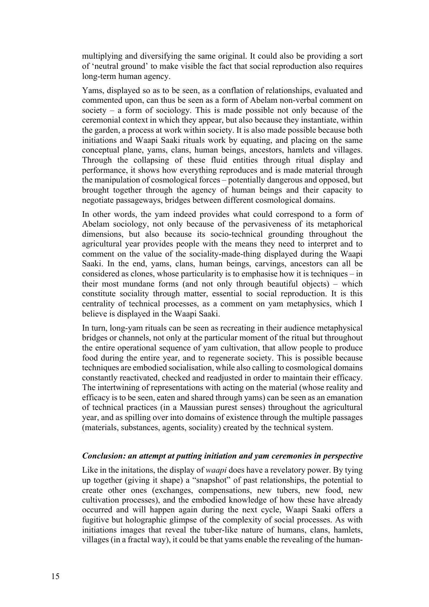multiplying and diversifying the same original. It could also be providing a sort of 'neutral ground' to make visible the fact that social reproduction also requires long-term human agency.

Yams, displayed so as to be seen, as a conflation of relationships, evaluated and commented upon, can thus be seen as a form of Abelam non-verbal comment on society – a form of sociology. This is made possible not only because of the ceremonial context in which they appear, but also because they instantiate, within the garden, a process at work within society. It is also made possible because both initiations and Waapi Saaki rituals work by equating, and placing on the same conceptual plane, yams, clans, human beings, ancestors, hamlets and villages. Through the collapsing of these fluid entities through ritual display and performance, it shows how everything reproduces and is made material through the manipulation of cosmological forces – potentially dangerous and opposed, but brought together through the agency of human beings and their capacity to negotiate passageways, bridges between different cosmological domains.

In other words, the yam indeed provides what could correspond to a form of Abelam sociology, not only because of the pervasiveness of its metaphorical dimensions, but also because its socio-technical grounding throughout the agricultural year provides people with the means they need to interpret and to comment on the value of the sociality-made-thing displayed during the Waapi Saaki. In the end, yams, clans, human beings, carvings, ancestors can all be considered as clones, whose particularity is to emphasise how it is techniques – in their most mundane forms (and not only through beautiful objects) – which constitute sociality through matter, essential to social reproduction. It is this centrality of technical processes, as a comment on yam metaphysics, which I believe is displayed in the Waapi Saaki.

In turn, long-yam rituals can be seen as recreating in their audience metaphysical bridges or channels, not only at the particular moment of the ritual but throughout the entire operational sequence of yam cultivation, that allow people to produce food during the entire year, and to regenerate society. This is possible because techniques are embodied socialisation, while also calling to cosmological domains constantly reactivated, checked and readjusted in order to maintain their efficacy. The intertwining of representations with acting on the material (whose reality and efficacy is to be seen, eaten and shared through yams) can be seen as an emanation of technical practices (in a Maussian purest senses) throughout the agricultural year, and as spilling over into domains of existence through the multiple passages (materials, substances, agents, sociality) created by the technical system.

## *Conclusion: an attempt at putting initiation and yam ceremonies in perspective*

Like in the initations, the display of *waapi* does have a revelatory power. By tying up together (giving it shape) a "snapshot" of past relationships, the potential to create other ones (exchanges, compensations, new tubers, new food, new cultivation processes), and the embodied knowledge of how these have already occurred and will happen again during the next cycle, Waapi Saaki offers a fugitive but holographic glimpse of the complexity of social processes. As with initiations images that reveal the tuber-like nature of humans, clans, hamlets, villages (in a fractal way), it could be that yams enable the revealing of the human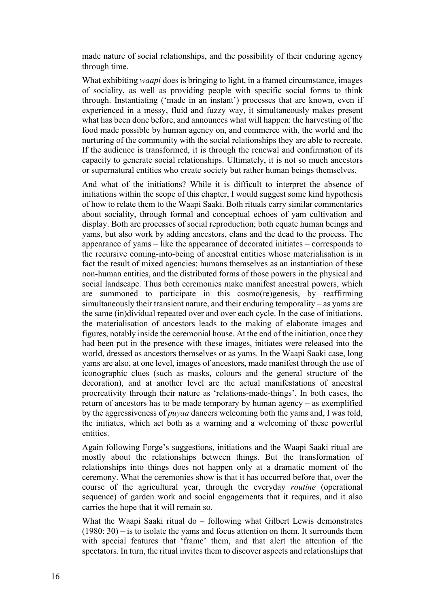made nature of social relationships, and the possibility of their enduring agency through time.

What exhibiting *waapi* does is bringing to light, in a framed circumstance, images of sociality, as well as providing people with specific social forms to think through. Instantiating ('made in an instant') processes that are known, even if experienced in a messy, fluid and fuzzy way, it simultaneously makes present what has been done before, and announces what will happen: the harvesting of the food made possible by human agency on, and commerce with, the world and the nurturing of the community with the social relationships they are able to recreate. If the audience is transformed, it is through the renewal and confirmation of its capacity to generate social relationships. Ultimately, it is not so much ancestors or supernatural entities who create society but rather human beings themselves.

And what of the initiations? While it is difficult to interpret the absence of initiations within the scope of this chapter, I would suggest some kind hypothesis of how to relate them to the Waapi Saaki. Both rituals carry similar commentaries about sociality, through formal and conceptual echoes of yam cultivation and display. Both are processes of social reproduction; both equate human beings and yams, but also work by adding ancestors, clans and the dead to the process. The appearance of yams – like the appearance of decorated initiates – corresponds to the recursive coming-into-being of ancestral entities whose materialisation is in fact the result of mixed agencies: humans themselves as an instantiation of these non-human entities, and the distributed forms of those powers in the physical and social landscape. Thus both ceremonies make manifest ancestral powers, which are summoned to participate in this cosmo(re)genesis, by reaffirming simultaneously their transient nature, and their enduring temporality – as yams are the same (in)dividual repeated over and over each cycle. In the case of initiations, the materialisation of ancestors leads to the making of elaborate images and figures, notably inside the ceremonial house. At the end of the initiation, once they had been put in the presence with these images, initiates were released into the world, dressed as ancestors themselves or as yams. In the Waapi Saaki case, long yams are also, at one level, images of ancestors, made manifest through the use of iconographic clues (such as masks, colours and the general structure of the decoration), and at another level are the actual manifestations of ancestral procreativity through their nature as 'relations-made-things'. In both cases, the return of ancestors has to be made temporary by human agency – as exemplified by the aggressiveness of *puyaa* dancers welcoming both the yams and, I was told, the initiates, which act both as a warning and a welcoming of these powerful entities.

Again following Forge's suggestions, initiations and the Waapi Saaki ritual are mostly about the relationships between things. But the transformation of relationships into things does not happen only at a dramatic moment of the ceremony. What the ceremonies show is that it has occurred before that, over the course of the agricultural year, through the everyday *routine* (operational sequence) of garden work and social engagements that it requires, and it also carries the hope that it will remain so.

What the Waapi Saaki ritual do – following what Gilbert Lewis demonstrates  $(1980: 30) -$  is to isolate the yams and focus attention on them. It surrounds them with special features that 'frame' them, and that alert the attention of the spectators. In turn, the ritual invites them to discover aspects and relationships that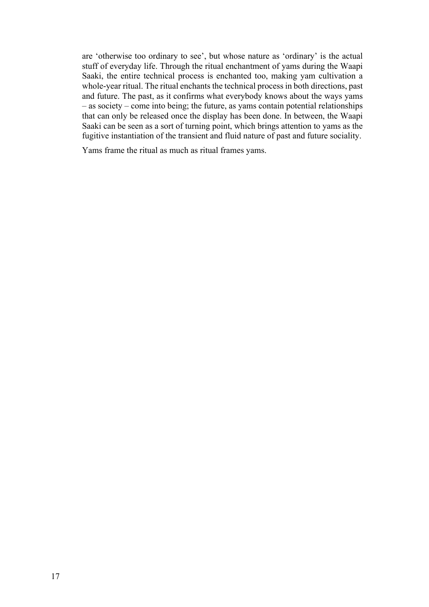are 'otherwise too ordinary to see', but whose nature as 'ordinary' is the actual stuff of everyday life. Through the ritual enchantment of yams during the Waapi Saaki, the entire technical process is enchanted too, making yam cultivation a whole-year ritual. The ritual enchants the technical process in both directions, past and future. The past, as it confirms what everybody knows about the ways yams – as society – come into being; the future, as yams contain potential relationships that can only be released once the display has been done. In between, the Waapi Saaki can be seen as a sort of turning point, which brings attention to yams as the fugitive instantiation of the transient and fluid nature of past and future sociality.

Yams frame the ritual as much as ritual frames yams.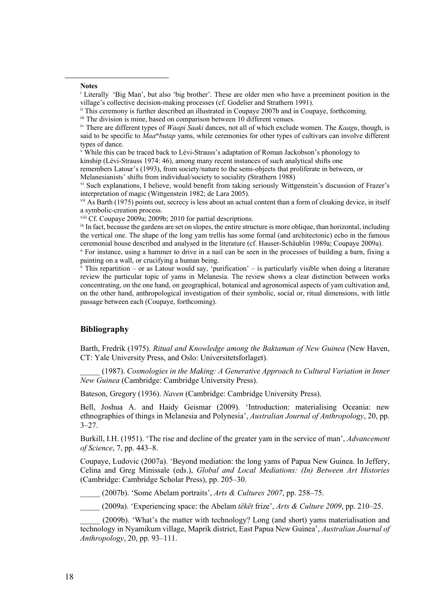#### **Notes**

vi Such explanations, I believe, would benefit from taking seriously Wittgenstein's discussion of Frazer's interpretation of magic (Wittgenstein 1982; de Lara 2005).

vii As Barth (1975) points out, secrecy is less about an actual content than a form of cloaking device, in itself a symbolic-creation process.

viii Cf. Coupaye 2009a; 2009b; 2010 for partial descriptions.

ix In fact, because the gardens are set on slopes, the entire structure is more oblique, than horizontal, including the vertical one. The shape of the long yam trellis has some formal (and architectonic) echo in the famous ceremonial house described and analysed in the literature (cf. Hauser-Schäublin 1989a; Coupaye 2009a).

### **Bibliography**

Barth, Fredrik (1975). *Ritual and Knowledge among the Baktaman of New Guinea* (New Haven, CT: Yale University Press, and Oslo: Universitetsforlaget).

\_\_\_\_\_ (1987). *Cosmologies in the Making: A Generative Approach to Cultural Variation in Inner New Guinea* (Cambridge: Cambridge University Press).

Bateson, Gregory (1936). *Naven* (Cambridge: Cambridge University Press).

Bell, Joshua A. and Haidy Geismar (2009). 'Introduction: materialising Oceania: new ethnographies of things in Melanesia and Polynesia', *Australian Journal of Anthropology*, 20, pp.  $3 - 27$ .

Burkill, I.H. (1951). 'The rise and decline of the greater yam in the service of man', *Advancement of Science*, 7, pp. 443–8.

Coupaye, Ludovic (2007a). 'Beyond mediation: the long yams of Papua New Guinea. In Jeffery, Celina and Greg Minissale (eds.), *Global and Local Mediations: (In) Between Art Histories* (Cambridge: Cambridge Scholar Press), pp. 205–30.

\_\_\_\_\_ (2007b). 'Some Abelam portraits', *Arts & Cultures 2007*, pp. 258–75.

\_\_\_\_\_ (2009a). 'Experiencing space: the Abelam *tëkët* frize', *Arts & Culture 2009*, pp. 210–25.

(2009b). 'What's the matter with technology? Long (and short) yams materialisation and technology in Nyamikum village, Maprik district, East Papua New Guinea', *Australian Journal of Anthropology*, 20, pp. 93–111.

<sup>i</sup> Literally 'Big Man', but also 'big brother'. These are older men who have a preeminent position in the village's collective decision-making processes (cf. Godelier and Strathern 1991).

ii This ceremony is further described an illustrated in Coupaye 2007b and in Coupaye, forthcoming.

iii The division is mine, based on comparison between 10 different venues.

iv There are different types of *Waapi Saaki* dances, not all of which exclude women. The *Kaagu*, though, is said to be specific to *Maambutap* yams, while ceremonies for other types of cultivars can involve different types of dance.

<sup>v</sup> While this can be traced back to Lévi-Strauss's adaptation of Roman Jackobson's phonology to

kinship (Lévi-Strauss 1974: 46), among many recent instances of such analytical shifts one

remembers Latour's (1993), from society/nature to the semi-objects that proliferate in between, or Melanesianists' shifts from individual/society to sociality (Strathern 1988)

<sup>x</sup> For instance, using a hammer to drive in a nail can be seen in the processes of building a barn, fixing a painting on a wall, or crucifying a human being.

This repartition – or as Latour would say, 'purification' – is particularly visible when doing a literature review the particular topic of yams in Melanesia. The review shows a clear distinction between works concentrating, on the one hand, on geographical, botanical and agronomical aspects of yam cultivation and, on the other hand, anthropological investigation of their symbolic, social or, ritual dimensions, with little passage between each (Coupaye, forthcoming).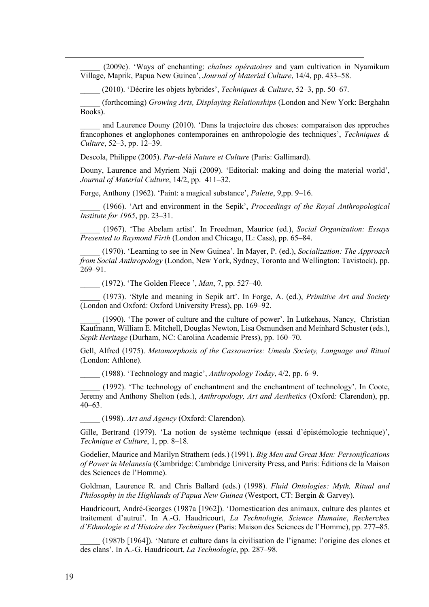\_\_\_\_\_ (2009c). 'Ways of enchanting: *chaînes opératoires* and yam cultivation in Nyamikum Village, Maprik, Papua New Guinea', *Journal of Material Culture*, 14/4, pp. 433–58.

\_\_\_\_\_ (2010). 'Décrire les objets hybrides', *Techniques & Culture*, 52–3, pp. 50–67.

\_\_\_\_\_ (forthcoming) *Growing Arts, Displaying Relationships* (London and New York: Berghahn Books).

\_\_\_\_\_ and Laurence Douny (2010). 'Dans la trajectoire des choses: comparaison des approches francophones et anglophones contemporaines en anthropologie des techniques', *Techniques & Culture*, 52–3, pp. 12–39.

Descola, Philippe (2005). *Par-delà Nature et Culture* (Paris: Gallimard).

Douny, Laurence and Myriem Naji (2009). 'Editorial: making and doing the material world', *Journal of Material Culture*, 14/2, pp. 411–32.

Forge, Anthony (1962). 'Paint: a magical substance', *Palette*, 9,pp. 9–16.

\_\_\_\_\_ (1966). 'Art and environment in the Sepik', *Proceedings of the Royal Anthropological Institute for 1965*, pp. 23–31.

\_\_\_\_\_ (1967). 'The Abelam artist'. In Freedman, Maurice (ed.), *Social Organization: Essays Presented to Raymond Firth* (London and Chicago, IL: Cass), pp. 65–84.

\_\_\_\_\_ (1970). 'Learning to see in New Guinea'. In Mayer, P. (ed.), *Socialization: The Approach from Social Anthropology* (London, New York, Sydney, Toronto and Wellington: Tavistock), pp. 269–91.

\_\_\_\_\_ (1972). 'The Golden Fleece ', *Man*, 7, pp. 527–40.

\_\_\_\_\_ (1973). 'Style and meaning in Sepik art'. In Forge, A. (ed.), *Primitive Art and Society* (London and Oxford: Oxford University Press), pp. 169–92.

(1990). 'The power of culture and the culture of power'. In Lutkehaus, Nancy, Christian Kaufmann, William E. Mitchell, Douglas Newton, Lisa Osmundsen and Meinhard Schuster (eds.), *Sepik Heritage* (Durham, NC: Carolina Academic Press), pp. 160–70.

Gell, Alfred (1975). *Metamorphosis of the Cassowaries: Umeda Society, Language and Ritual*  (London: Athlone).

\_\_\_\_\_ (1988). 'Technology and magic', *Anthropology Today*, 4/2, pp. 6–9.

\_\_\_\_\_ (1992). 'The technology of enchantment and the enchantment of technology'. In Coote, Jeremy and Anthony Shelton (eds.), *Anthropology, Art and Aesthetics* (Oxford: Clarendon), pp. 40–63.

\_\_\_\_\_ (1998). *Art and Agency* (Oxford: Clarendon).

Gille, Bertrand (1979). 'La notion de système technique (essai d'épistémologie technique)', *Technique et Culture*, 1, pp. 8–18.

Godelier, Maurice and Marilyn Strathern (eds.) (1991). *Big Men and Great Men: Personifications of Power in Melanesia* (Cambridge: Cambridge University Press, and Paris: Éditions de la Maison des Sciences de l'Homme).

Goldman, Laurence R. and Chris Ballard (eds.) (1998). *Fluid Ontologies: Myth, Ritual and Philosophy in the Highlands of Papua New Guinea* (Westport, CT: Bergin & Garvey).

Haudricourt, André-Georges (1987a [1962]). 'Domestication des animaux, culture des plantes et traitement d'autrui'. In A.-G. Haudricourt, *La Technologie, Science Humaine*, *Recherches d'Ethnologie et d'Histoire des Techniques* (Paris: Maison des Sciences de l'Homme), pp. 277–85.

\_\_\_\_\_ (1987b [1964]). 'Nature et culture dans la civilisation de l'igname: l'origine des clones et des clans'. In A.-G. Haudricourt, *La Technologie*, pp. 287–98.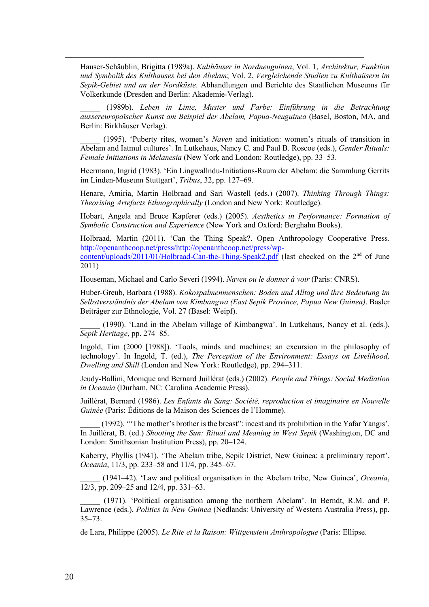Hauser-Schäublin, Brigitta (1989a). *Kulthäuser in Nordneuguinea*, Vol. 1, *Architektur, Funktion und Symbolik des Kulthauses bei den Abelam*; Vol. 2, *Vergleichende Studien zu Kulthaüsern im Sepik-Gebiet und an der Nordküste*. Abhandlungen und Berichte des Staatlichen Museums für Volkerkunde (Dresden and Berlin: Akademie-Verlag).

\_\_\_\_\_ (1989b). *Leben in Linie, Muster und Farbe: Einführung in die Betrachtung aussereuropaïscher Kunst am Beispiel der Abelam, Papua-Neuguinea* (Basel, Boston, MA, and Berlin: Birkhäuser Verlag).

\_\_\_\_\_ (1995). 'Puberty rites, women's *Naven* and initiation: women's rituals of transition in Abelam and Iatmul cultures'. In Lutkehaus, Nancy C. and Paul B. Roscoe (eds.), *Gender Rituals: Female Initiations in Melanesia* (New York and London: Routledge), pp. 33–53.

Heermann, Ingrid (1983). 'Ein Lingwallndu-Initiations-Raum der Abelam: die Sammlung Gerrits im Linden-Museum Stuttgart', *Tribus*, 32, pp. 127–69.

Henare, Amiria, Martin Holbraad and Sari Wastell (eds.) (2007). *Thinking Through Things: Theorising Artefacts Ethnographically* (London and New York: Routledge).

Hobart, Angela and Bruce Kapferer (eds.) (2005). *Aesthetics in Performance: Formation of Symbolic Construction and Experience* (New York and Oxford: Berghahn Books).

Holbraad, Martin (2011). 'Can the Thing Speak?. Open Anthropology Cooperative Press. http://openanthcoop.net/press/http://openanthcoop.net/press/wpcontent/uploads/2011/01/Holbraad-Can-the-Thing-Speak2.pdf (last checked on the  $2<sup>nd</sup>$  of June 2011)

Houseman, Michael and Carlo Severi (1994). *Naven ou le donner à voir* (Paris: CNRS).

Huber-Greub, Barbara (1988). *Kokospalmenmenschen: Boden und Alltag und ihre Bedeutung im Selbstverständnis der Abelam von Kimbangwa (East Sepik Province, Papua New Guinea)*. Basler Beiträger zur Ethnologie, Vol. 27 (Basel: Weipf).

\_\_\_\_\_ (1990). 'Land in the Abelam village of Kimbangwa'. In Lutkehaus, Nancy et al. (eds.), *Sepik Heritage*, pp. 274–85.

Ingold, Tim (2000 [1988]). 'Tools, minds and machines: an excursion in the philosophy of technology'. In Ingold, T. (ed.), *The Perception of the Environment: Essays on Livelihood, Dwelling and Skill* (London and New York: Routledge), pp. 294–311.

Jeudy-Ballini, Monique and Bernard Juillérat (eds.) (2002). *People and Things: Social Mediation in Oceania* (Durham, NC: Carolina Academic Press).

Juillérat, Bernard (1986). *Les Enfants du Sang: Société, reproduction et imaginaire en Nouvelle Guinée* (Paris: Éditions de la Maison des Sciences de l'Homme).

\_\_\_\_\_ (1992). '"The mother's brother is the breast": incest and its prohibition in the Yafar Yangis'. In Juillérat, B. (ed.) *Shooting the Sun: Ritual and Meaning in West Sepik* (Washington, DC and London: Smithsonian Institution Press), pp. 20–124.

Kaberry, Phyllis (1941). 'The Abelam tribe, Sepik District, New Guinea: a preliminary report', *Oceania*, 11/3, pp. 233–58 and 11/4, pp. 345–67.

\_\_\_\_\_ (1941–42). 'Law and political organisation in the Abelam tribe, New Guinea', *Oceania*, 12/3, pp. 209–25 and 12/4, pp. 331–63.

\_\_\_\_\_ (1971). 'Political organisation among the northern Abelam'. In Berndt, R.M. and P. Lawrence (eds.), *Politics in New Guinea* (Nedlands: University of Western Australia Press), pp. 35–73.

de Lara, Philippe (2005). *Le Rite et la Raison: Wittgenstein Anthropologue* (Paris: Ellipse.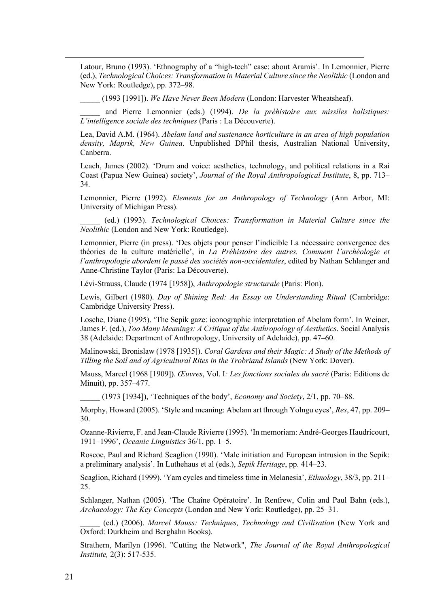Latour, Bruno (1993). 'Ethnography of a "high-tech" case: about Aramis'. In Lemonnier, Pierre (ed.), *Technological Choices: Transformation in Material Culture since the Neolithic* (London and New York: Routledge), pp. 372–98.

\_\_\_\_\_ (1993 [1991]). *We Have Never Been Modern* (London: Harvester Wheatsheaf).

\_\_\_\_\_ and Pierre Lemonnier (eds.) (1994). *De la préhistoire aux missiles balistiques: L'intelligence sociale des techniques* (Paris : La Découverte).

Lea, David A.M. (1964). *Abelam land and sustenance horticulture in an area of high population density, Maprik, New Guinea*. Unpublished DPhil thesis, Australian National University, Canberra.

Leach, James (2002). 'Drum and voice: aesthetics, technology, and political relations in a Rai Coast (Papua New Guinea) society', *Journal of the Royal Anthropological Institute*, 8, pp. 713– 34.

Lemonnier, Pierre (1992). *Elements for an Anthropology of Technology* (Ann Arbor, MI: University of Michigan Press).

\_\_\_\_\_ (ed.) (1993). *Technological Choices: Transformation in Material Culture since the Neolithic* (London and New York: Routledge).

Lemonnier, Pierre (in press). 'Des objets pour penser l'indicible La nécessaire convergence des théories de la culture matérielle', in *La Préhistoire des autres. Comment l'archéologie et l'anthropologie abordent le passé des sociétés non-occidentales*, edited by Nathan Schlanger and Anne-Christine Taylor (Paris: La Découverte).

Lévi-Strauss, Claude (1974 [1958]), *Anthropologie structurale* (Paris: Plon).

Lewis, Gilbert (1980). *Day of Shining Red: An Essay on Understanding Ritual* (Cambridge: Cambridge University Press).

Losche, Diane (1995). 'The Sepik gaze: iconographic interpretation of Abelam form'. In Weiner, James F. (ed.), *Too Many Meanings: A Critique of the Anthropology of Aesthetics*. Social Analysis 38 (Adelaide: Department of Anthropology, University of Adelaide), pp. 47–60.

Malinowski, Bronislaw (1978 [1935]). *Coral Gardens and their Magic: A Study of the Methods of Tilling the Soil and of Agricultural Rites in the Trobriand Islands* (New York: Dover).

Mauss, Marcel (1968 [1909]). *Œuvres*, Vol. I*: Les fonctions sociales du sacré* (Paris: Editions de Minuit), pp. 357–477.

\_\_\_\_\_ (1973 [1934]), 'Techniques of the body', *Economy and Society*, 2/1, pp. 70–88.

Morphy, Howard (2005). 'Style and meaning: Abelam art through Yolngu eyes', *Res*, 47, pp. 209– 30.

Ozanne-Rivierre, F. and Jean-Claude Rivierre (1995). 'In memoriam: André-Georges Haudricourt, 1911–1996', *Oceanic Linguistics* 36/1, pp. 1–5.

Roscoe, Paul and Richard Scaglion (1990). 'Male initiation and European intrusion in the Sepik: a preliminary analysis'. In Luthehaus et al (eds.), *Sepik Heritage*, pp. 414–23.

Scaglion, Richard (1999). 'Yam cycles and timeless time in Melanesia', *Ethnology*, 38/3, pp. 211– 25.

Schlanger, Nathan (2005). 'The Chaîne Opératoire'. In Renfrew, Colin and Paul Bahn (eds.), *Archaeology: The Key Concepts* (London and New York: Routledge), pp. 25–31.

\_\_\_\_\_ (ed.) (2006). *Marcel Mauss: Techniques, Technology and Civilisation* (New York and Oxford: Durkheim and Berghahn Books).

Strathern, Marilyn (1996). "Cutting the Network", *The Journal of the Royal Anthropological Institute,* 2(3): 517-535.